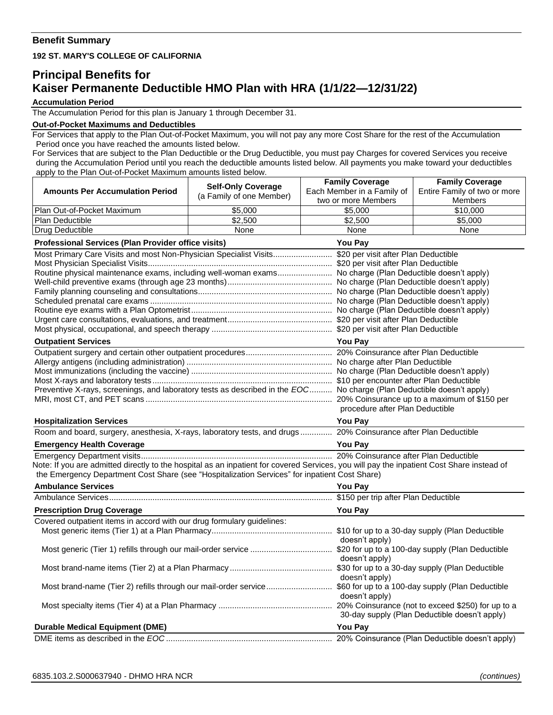# **Benefit Summary**

### **192 ST. MARY'S COLLEGE OF CALIFORNIA**

# **Principal Benefits for Kaiser Permanente Deductible HMO Plan with HRA (1/1/22—12/31/22)**

#### **Accumulation Period**

The Accumulation Period for this plan is January 1 through December 31.

## **Out-of-Pocket Maximums and Deductibles**

For Services that apply to the Plan Out-of-Pocket Maximum, you will not pay any more Cost Share for the rest of the Accumulation Period once you have reached the amounts listed below.

For Services that are subject to the Plan Deductible or the Drug Deductible, you must pay Charges for covered Services you receive during the Accumulation Period until you reach the deductible amounts listed below. All payments you make toward your deductibles apply to the Plan Out-of-Pocket Maximum amounts listed below.

|                                                                                                                                                           |                                                       | <b>Family Coverage</b>     | <b>Family Coverage</b>                        |  |
|-----------------------------------------------------------------------------------------------------------------------------------------------------------|-------------------------------------------------------|----------------------------|-----------------------------------------------|--|
| <b>Amounts Per Accumulation Period</b>                                                                                                                    | <b>Self-Only Coverage</b><br>(a Family of one Member) | Each Member in a Family of | Entire Family of two or more                  |  |
|                                                                                                                                                           |                                                       | two or more Members        | <b>Members</b>                                |  |
| Plan Out-of-Pocket Maximum                                                                                                                                | \$5,000                                               | \$5,000                    | \$10,000                                      |  |
| Plan Deductible                                                                                                                                           | \$2,500                                               | \$2,500                    | \$5,000                                       |  |
| Drug Deductible                                                                                                                                           | None                                                  | None                       | None                                          |  |
| Professional Services (Plan Provider office visits)<br><b>You Pay</b>                                                                                     |                                                       |                            |                                               |  |
|                                                                                                                                                           |                                                       |                            |                                               |  |
|                                                                                                                                                           |                                                       |                            |                                               |  |
| Routine physical maintenance exams, including well-woman exams No charge (Plan Deductible doesn't apply)                                                  |                                                       |                            |                                               |  |
|                                                                                                                                                           |                                                       |                            |                                               |  |
|                                                                                                                                                           |                                                       |                            |                                               |  |
|                                                                                                                                                           |                                                       |                            |                                               |  |
|                                                                                                                                                           |                                                       |                            |                                               |  |
|                                                                                                                                                           |                                                       |                            |                                               |  |
| <b>Outpatient Services</b>                                                                                                                                |                                                       |                            | <b>You Pay</b>                                |  |
|                                                                                                                                                           |                                                       |                            |                                               |  |
|                                                                                                                                                           |                                                       |                            |                                               |  |
|                                                                                                                                                           |                                                       |                            |                                               |  |
|                                                                                                                                                           |                                                       |                            |                                               |  |
| Preventive X-rays, screenings, and laboratory tests as described in the EOC No charge (Plan Deductible doesn't apply)                                     |                                                       |                            |                                               |  |
|                                                                                                                                                           |                                                       |                            |                                               |  |
|                                                                                                                                                           | procedure after Plan Deductible                       |                            |                                               |  |
| <b>Hospitalization Services</b>                                                                                                                           |                                                       | <b>You Pay</b>             |                                               |  |
| Room and board, surgery, anesthesia, X-rays, laboratory tests, and drugs 20% Coinsurance after Plan Deductible                                            |                                                       |                            |                                               |  |
| <b>Emergency Health Coverage</b><br><u> 1980 - Johann Barn, mars ann an t-Amhainn an t-Amhainn an t-Amhainn an t-Amhainn an t-Amhainn an t-Amhainn an</u> |                                                       | <b>You Pay</b>             |                                               |  |
|                                                                                                                                                           |                                                       |                            |                                               |  |
| Note: If you are admitted directly to the hospital as an inpatient for covered Services, you will pay the inpatient Cost Share instead of                 |                                                       |                            |                                               |  |
| the Emergency Department Cost Share (see "Hospitalization Services" for inpatient Cost Share)                                                             |                                                       |                            |                                               |  |
| <b>Ambulance Services</b>                                                                                                                                 |                                                       | <b>You Pay</b>             |                                               |  |
|                                                                                                                                                           |                                                       |                            |                                               |  |
| <b>Prescription Drug Coverage</b>                                                                                                                         |                                                       | You Pay                    |                                               |  |
| Covered outpatient items in accord with our drug formulary guidelines:                                                                                    |                                                       |                            |                                               |  |
|                                                                                                                                                           |                                                       |                            |                                               |  |
|                                                                                                                                                           |                                                       | doesn't apply)             |                                               |  |
|                                                                                                                                                           |                                                       |                            |                                               |  |
|                                                                                                                                                           |                                                       | doesn't apply)             |                                               |  |
|                                                                                                                                                           |                                                       | doesn't apply)             |                                               |  |
|                                                                                                                                                           |                                                       |                            |                                               |  |
|                                                                                                                                                           |                                                       | doesn't apply)             |                                               |  |
|                                                                                                                                                           |                                                       |                            |                                               |  |
|                                                                                                                                                           |                                                       |                            | 30-day supply (Plan Deductible doesn't apply) |  |
| <b>Durable Medical Equipment (DME)</b>                                                                                                                    |                                                       | You Pay                    |                                               |  |
|                                                                                                                                                           |                                                       |                            |                                               |  |
|                                                                                                                                                           |                                                       |                            |                                               |  |